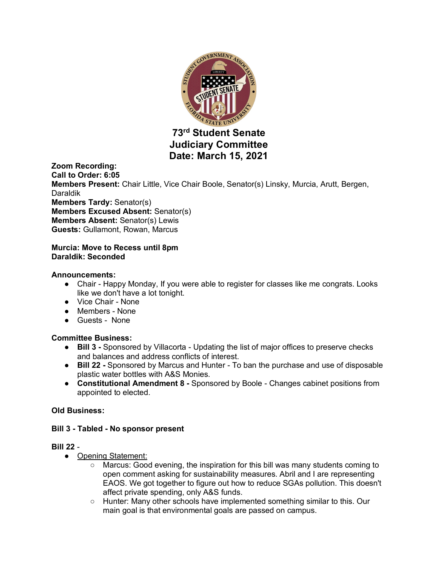

**73rd Student Senate Judiciary Committee Date: March 15, 2021**

**Zoom Recording: Call to Order: 6:05 Members Present:** Chair Little, Vice Chair Boole, Senator(s) Linsky, Murcia, Arutt, Bergen, Daraldik **Members Tardy:** Senator(s) **Members Excused Absent:** Senator(s) **Members Absent:** Senator(s) Lewis **Guests:** Gullamont, Rowan, Marcus

### **Murcia: Move to Recess until 8pm Daraldik: Seconded**

## **Announcements:**

- Chair Happy Monday, If you were able to register for classes like me congrats. Looks like we don't have a lot tonight.
- Vice Chair None
- Members None
- Guests None

## **Committee Business:**

- **Bill 3 -** Sponsored by Villacorta Updating the list of major offices to preserve checks and balances and address conflicts of interest.
- **Bill 22 -** Sponsored by Marcus and Hunter To ban the purchase and use of disposable plastic water bottles with A&S Monies.
- **Constitutional Amendment 8 -** Sponsored by Boole Changes cabinet positions from appointed to elected.

#### **Old Business:**

#### **Bill 3 - Tabled - No sponsor present**

#### **Bill 22** -

- Opening Statement:
	- Marcus: Good evening, the inspiration for this bill was many students coming to open comment asking for sustainability measures. Abril and I are representing EAOS. We got together to figure out how to reduce SGAs pollution. This doesn't affect private spending, only A&S funds.
	- Hunter: Many other schools have implemented something similar to this. Our main goal is that environmental goals are passed on campus.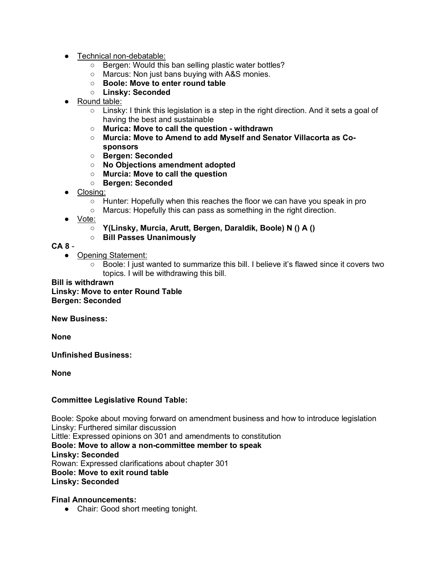- Technical non-debatable:
	- Bergen: Would this ban selling plastic water bottles?
	- Marcus: Non just bans buying with A&S monies.
	- **Boole: Move to enter round table**
	- **Linsky: Seconded**
- Round table:
	- $\circ$  Linsky: I think this legislation is a step in the right direction. And it sets a goal of having the best and sustainable
	- **Murica: Move to call the question - withdrawn**
	- **Murcia: Move to Amend to add Myself and Senator Villacorta as Cosponsors**
	- **Bergen: Seconded**
	- **No Objections amendment adopted**
	- **Murcia: Move to call the question**
	- **Bergen: Seconded**
- Closing:
	- Hunter: Hopefully when this reaches the floor we can have you speak in pro
	- Marcus: Hopefully this can pass as something in the right direction.
- <u>Vote:</u>
	- **Y(Linsky, Murcia, Arutt, Bergen, Daraldik, Boole) N () A ()**

## ○ **Bill Passes Unanimously**

# **CA 8** -

- Opening Statement:
	- Boole: I just wanted to summarize this bill. I believe it's flawed since it covers two topics. I will be withdrawing this bill.

## **Bill is withdrawn Linsky: Move to enter Round Table Bergen: Seconded**

**New Business:**

**None**

**Unfinished Business:**

**None**

# **Committee Legislative Round Table:**

Boole: Spoke about moving forward on amendment business and how to introduce legislation Linsky: Furthered similar discussion Little: Expressed opinions on 301 and amendments to constitution

**Boole: Move to allow a non-committee member to speak**

**Linsky: Seconded**

Rowan: Expressed clarifications about chapter 301

**Boole: Move to exit round table**

**Linsky: Seconded**

## **Final Announcements:**

• Chair: Good short meeting tonight.